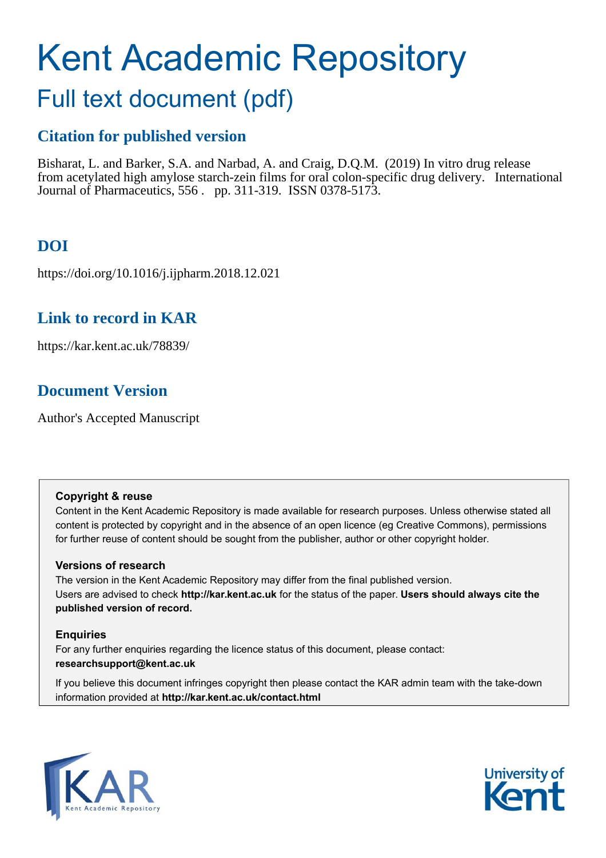# Kent Academic Repository

## Full text document (pdf)

## **Citation for published version**

Bisharat, L. and Barker, S.A. and Narbad, A. and Craig, D.Q.M. (2019) In vitro drug release from acetylated high amylose starch-zein films for oral colon-specific drug delivery. International Journal of Pharmaceutics, 556 . pp. 311-319. ISSN 0378-5173.

## **DOI**

https://doi.org/10.1016/j.ijpharm.2018.12.021

## **Link to record in KAR**

https://kar.kent.ac.uk/78839/

## **Document Version**

Author's Accepted Manuscript

#### **Copyright & reuse**

Content in the Kent Academic Repository is made available for research purposes. Unless otherwise stated all content is protected by copyright and in the absence of an open licence (eg Creative Commons), permissions for further reuse of content should be sought from the publisher, author or other copyright holder.

#### **Versions of research**

The version in the Kent Academic Repository may differ from the final published version. Users are advised to check **http://kar.kent.ac.uk** for the status of the paper. **Users should always cite the published version of record.**

#### **Enquiries**

For any further enquiries regarding the licence status of this document, please contact: **researchsupport@kent.ac.uk**

If you believe this document infringes copyright then please contact the KAR admin team with the take-down information provided at **http://kar.kent.ac.uk/contact.html**



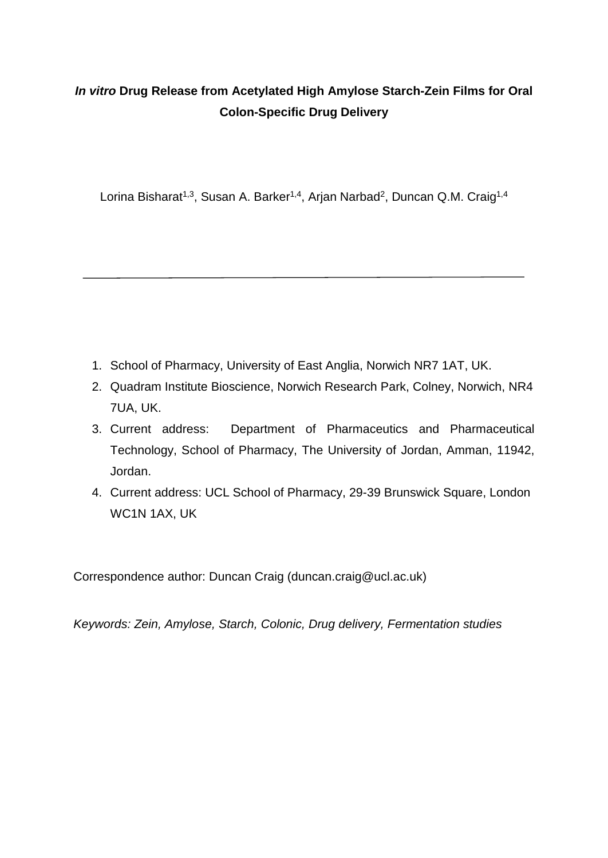## *In vitro* **Drug Release from Acetylated High Amylose Starch-Zein Films for Oral Colon-Specific Drug Delivery**

Lorina Bisharat<sup>1,3</sup>, Susan A. Barker<sup>1,4</sup>, Arjan Narbad<sup>2</sup>, Duncan Q.M. Craig<sup>1,4</sup>

- 1. School of Pharmacy, University of East Anglia, Norwich NR7 1AT, UK.
- 2. Quadram Institute Bioscience, Norwich Research Park, Colney, Norwich, NR4 7UA, UK.
- 3. Current address: Department of Pharmaceutics and Pharmaceutical Technology, School of Pharmacy, The University of Jordan, Amman, 11942, Jordan.
- 4. Current address: UCL School of Pharmacy, 29-39 Brunswick Square, London WC1N 1AX, UK

Correspondence author: Duncan Craig (duncan.craig@ucl.ac.uk)

*Keywords: Zein, Amylose, Starch, Colonic, Drug delivery, Fermentation studies*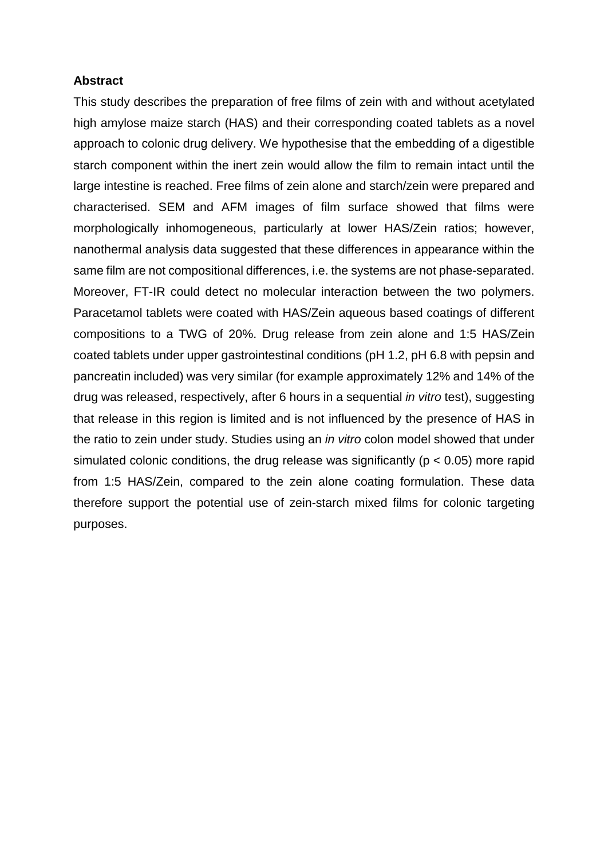#### **Abstract**

This study describes the preparation of free films of zein with and without acetylated high amylose maize starch (HAS) and their corresponding coated tablets as a novel approach to colonic drug delivery. We hypothesise that the embedding of a digestible starch component within the inert zein would allow the film to remain intact until the large intestine is reached. Free films of zein alone and starch/zein were prepared and characterised. SEM and AFM images of film surface showed that films were morphologically inhomogeneous, particularly at lower HAS/Zein ratios; however, nanothermal analysis data suggested that these differences in appearance within the same film are not compositional differences, i.e. the systems are not phase-separated. Moreover, FT-IR could detect no molecular interaction between the two polymers. Paracetamol tablets were coated with HAS/Zein aqueous based coatings of different compositions to a TWG of 20%. Drug release from zein alone and 1:5 HAS/Zein coated tablets under upper gastrointestinal conditions (pH 1.2, pH 6.8 with pepsin and pancreatin included) was very similar (for example approximately 12% and 14% of the drug was released, respectively, after 6 hours in a sequential *in vitro* test), suggesting that release in this region is limited and is not influenced by the presence of HAS in the ratio to zein under study. Studies using an *in vitro* colon model showed that under simulated colonic conditions, the drug release was significantly ( $p < 0.05$ ) more rapid from 1:5 HAS/Zein, compared to the zein alone coating formulation. These data therefore support the potential use of zein-starch mixed films for colonic targeting purposes.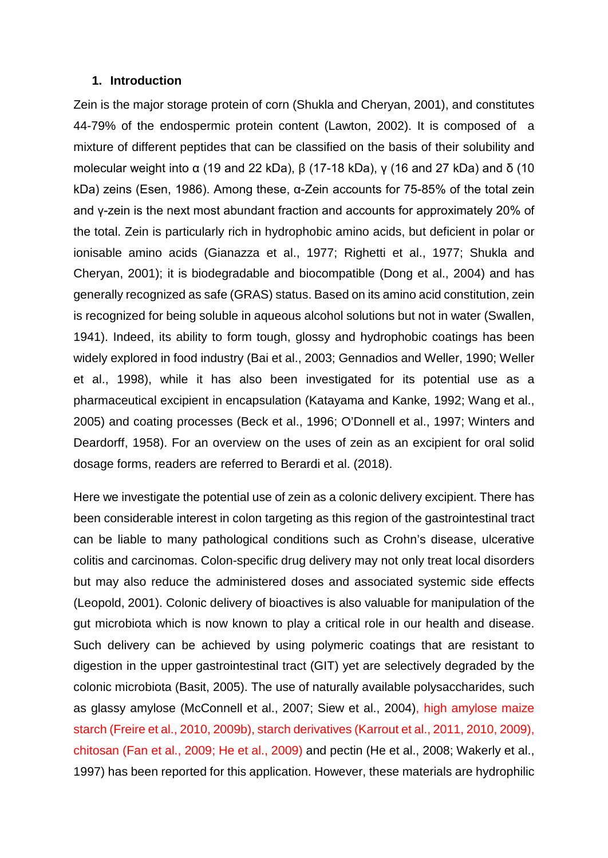#### **1. Introduction**

Zein is the major storage protein of corn (Shukla and Cheryan, 2001), and constitutes 44-79% of the endospermic protein content (Lawton, 2002). It is composed of a mixture of different peptides that can be classified on the basis of their solubility and molecular weight into α (19 and 22 kDa),  $\beta$  (17-18 kDa), y (16 and 27 kDa) and δ (10 kDa) zeins (Esen, 1986). Among these, α-Zein accounts for 75-85% of the total zein and γ-zein is the next most abundant fraction and accounts for approximately 20% of the total. Zein is particularly rich in hydrophobic amino acids, but deficient in polar or ionisable amino acids (Gianazza et al., 1977; Righetti et al., 1977; Shukla and Cheryan, 2001); it is biodegradable and biocompatible (Dong et al., 2004) and has generally recognized as safe (GRAS) status. Based on its amino acid constitution, zein is recognized for being soluble in aqueous alcohol solutions but not in water (Swallen, 1941). Indeed, its ability to form tough, glossy and hydrophobic coatings has been widely explored in food industry (Bai et al., 2003; Gennadios and Weller, 1990; Weller et al., 1998), while it has also been investigated for its potential use as a pharmaceutical excipient in encapsulation (Katayama and Kanke, 1992; Wang et al., 2005) and coating processes (Beck et al., 1996; O'Donnell et al., 1997; Winters and Deardorff, 1958). For an overview on the uses of zein as an excipient for oral solid dosage forms, readers are referred to Berardi et al. (2018).

Here we investigate the potential use of zein as a colonic delivery excipient. There has been considerable interest in colon targeting as this region of the gastrointestinal tract can be liable to many pathological conditions such as Crohn's disease, ulcerative colitis and carcinomas. Colon-specific drug delivery may not only treat local disorders but may also reduce the administered doses and associated systemic side effects (Leopold, 2001). Colonic delivery of bioactives is also valuable for manipulation of the gut microbiota which is now known to play a critical role in our health and disease. Such delivery can be achieved by using polymeric coatings that are resistant to digestion in the upper gastrointestinal tract (GIT) yet are selectively degraded by the colonic microbiota (Basit, 2005). The use of naturally available polysaccharides, such as glassy amylose (McConnell et al., 2007; Siew et al., 2004), high amylose maize starch (Freire et al., 2010, 2009b), starch derivatives (Karrout et al., 2011, 2010, 2009), chitosan (Fan et al., 2009; He et al., 2009) and pectin (He et al., 2008; Wakerly et al., 1997) has been reported for this application. However, these materials are hydrophilic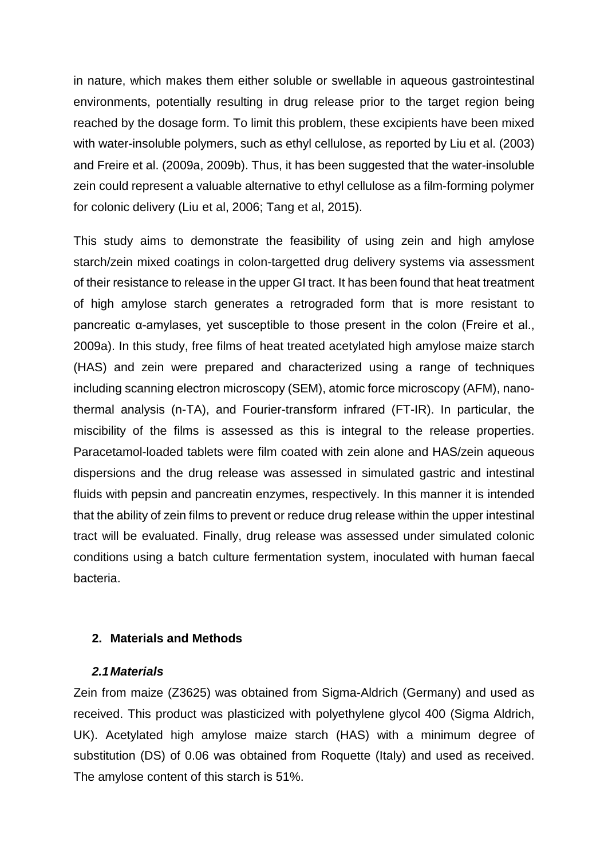in nature, which makes them either soluble or swellable in aqueous gastrointestinal environments, potentially resulting in drug release prior to the target region being reached by the dosage form. To limit this problem, these excipients have been mixed with water-insoluble polymers, such as ethyl cellulose, as reported by Liu et al. (2003) and Freire et al. (2009a, 2009b). Thus, it has been suggested that the water-insoluble zein could represent a valuable alternative to ethyl cellulose as a film-forming polymer for colonic delivery (Liu et al, 2006; Tang et al, 2015).

This study aims to demonstrate the feasibility of using zein and high amylose starch/zein mixed coatings in colon-targetted drug delivery systems via assessment of their resistance to release in the upper GI tract. It has been found that heat treatment of high amylose starch generates a retrograded form that is more resistant to pancreatic α-amylases, yet susceptible to those present in the colon (Freire et al., 2009a). In this study, free films of heat treated acetylated high amylose maize starch (HAS) and zein were prepared and characterized using a range of techniques including scanning electron microscopy (SEM), atomic force microscopy (AFM), nanothermal analysis (n-TA), and Fourier-transform infrared (FT-IR). In particular, the miscibility of the films is assessed as this is integral to the release properties. Paracetamol-loaded tablets were film coated with zein alone and HAS/zein aqueous dispersions and the drug release was assessed in simulated gastric and intestinal fluids with pepsin and pancreatin enzymes, respectively. In this manner it is intended that the ability of zein films to prevent or reduce drug release within the upper intestinal tract will be evaluated. Finally, drug release was assessed under simulated colonic conditions using a batch culture fermentation system, inoculated with human faecal bacteria.

#### **2. Materials and Methods**

#### *2.1 Materials*

Zein from maize (Z3625) was obtained from Sigma-Aldrich (Germany) and used as received. This product was plasticized with polyethylene glycol 400 (Sigma Aldrich, UK). Acetylated high amylose maize starch (HAS) with a minimum degree of substitution (DS) of 0.06 was obtained from Roquette (Italy) and used as received. The amylose content of this starch is 51%.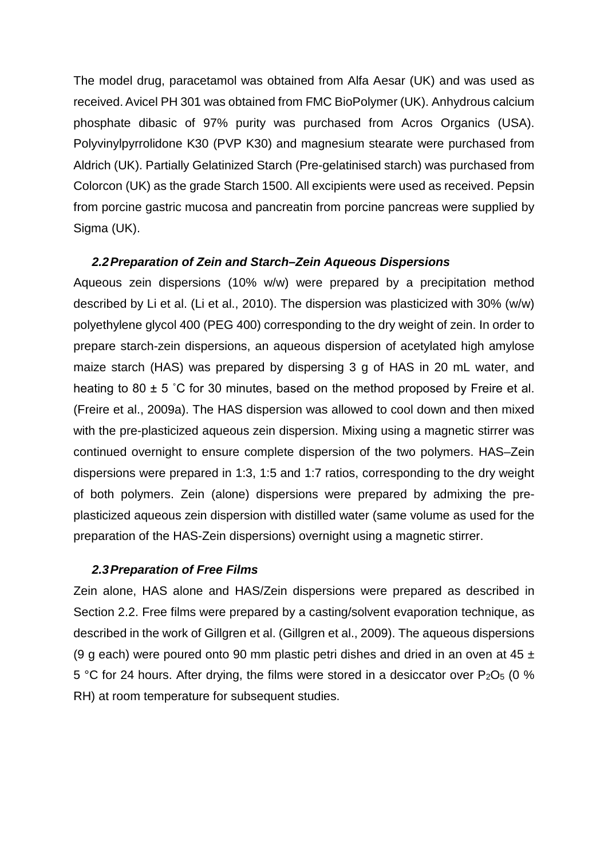The model drug, paracetamol was obtained from Alfa Aesar (UK) and was used as received. Avicel PH 301 was obtained from FMC BioPolymer (UK). Anhydrous calcium phosphate dibasic of 97% purity was purchased from Acros Organics (USA). Polyvinylpyrrolidone K30 (PVP K30) and magnesium stearate were purchased from Aldrich (UK). Partially Gelatinized Starch (Pre-gelatinised starch) was purchased from Colorcon (UK) as the grade Starch 1500. All excipients were used as received. Pepsin from porcine gastric mucosa and pancreatin from porcine pancreas were supplied by Sigma (UK).

#### *2.2 Preparation of Zein and Starch–Zein Aqueous Dispersions*

Aqueous zein dispersions (10% w/w) were prepared by a precipitation method described by Li et al. (Li et al., 2010). The dispersion was plasticized with 30% (w/w) polyethylene glycol 400 (PEG 400) corresponding to the dry weight of zein. In order to prepare starch-zein dispersions, an aqueous dispersion of acetylated high amylose maize starch (HAS) was prepared by dispersing 3 g of HAS in 20 mL water, and heating to 80  $\pm$  5 °C for 30 minutes, based on the method proposed by Freire et al. (Freire et al., 2009a). The HAS dispersion was allowed to cool down and then mixed with the pre-plasticized aqueous zein dispersion. Mixing using a magnetic stirrer was continued overnight to ensure complete dispersion of the two polymers. HAS–Zein dispersions were prepared in 1:3, 1:5 and 1:7 ratios, corresponding to the dry weight of both polymers. Zein (alone) dispersions were prepared by admixing the preplasticized aqueous zein dispersion with distilled water (same volume as used for the preparation of the HAS-Zein dispersions) overnight using a magnetic stirrer.

#### *2.3 Preparation of Free Films*

Zein alone, HAS alone and HAS/Zein dispersions were prepared as described in Section 2.2. Free films were prepared by a casting/solvent evaporation technique, as described in the work of Gillgren et al. (Gillgren et al., 2009). The aqueous dispersions (9 g each) were poured onto 90 mm plastic petri dishes and dried in an oven at 45  $\pm$ 5 °C for 24 hours. After drying, the films were stored in a desiccator over  $P_2O_5$  (0 % RH) at room temperature for subsequent studies.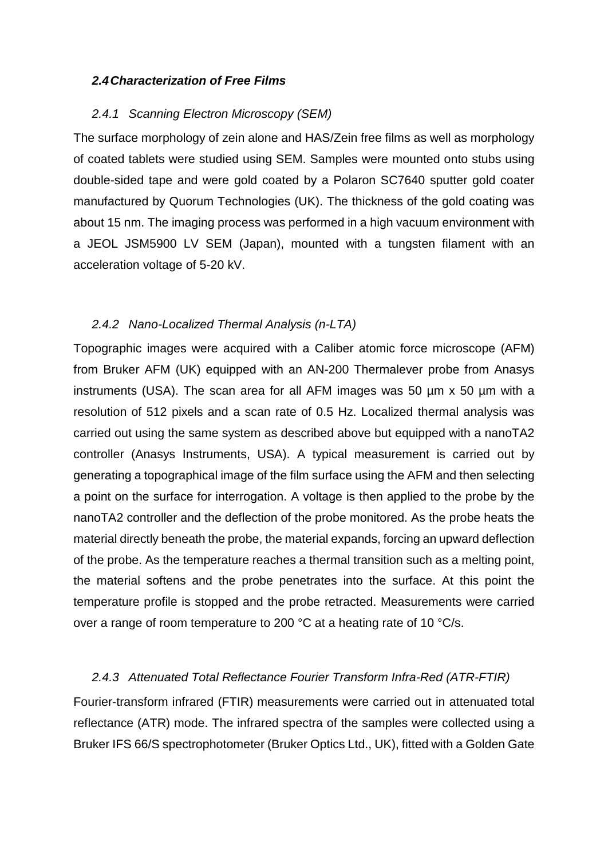#### *2.4 Characterization of Free Films*

#### *2.4.1 Scanning Electron Microscopy (SEM)*

The surface morphology of zein alone and HAS/Zein free films as well as morphology of coated tablets were studied using SEM. Samples were mounted onto stubs using double-sided tape and were gold coated by a Polaron SC7640 sputter gold coater manufactured by Quorum Technologies (UK). The thickness of the gold coating was about 15 nm. The imaging process was performed in a high vacuum environment with a JEOL JSM5900 LV SEM (Japan), mounted with a tungsten filament with an acceleration voltage of 5-20 kV.

#### *2.4.2 Nano-Localized Thermal Analysis (n-LTA)*

Topographic images were acquired with a Caliber atomic force microscope (AFM) from Bruker AFM (UK) equipped with an AN-200 Thermalever probe from Anasys instruments (USA). The scan area for all AFM images was 50 µm x 50 µm with a resolution of 512 pixels and a scan rate of 0.5 Hz. Localized thermal analysis was carried out using the same system as described above but equipped with a nanoTA2 controller (Anasys Instruments, USA). A typical measurement is carried out by generating a topographical image of the film surface using the AFM and then selecting a point on the surface for interrogation. A voltage is then applied to the probe by the nanoTA2 controller and the deflection of the probe monitored. As the probe heats the material directly beneath the probe, the material expands, forcing an upward deflection of the probe. As the temperature reaches a thermal transition such as a melting point, the material softens and the probe penetrates into the surface. At this point the temperature profile is stopped and the probe retracted. Measurements were carried over a range of room temperature to 200 °C at a heating rate of 10 °C/s.

#### *2.4.3 Attenuated Total Reflectance Fourier Transform Infra-Red (ATR-FTIR)*

Fourier-transform infrared (FTIR) measurements were carried out in attenuated total reflectance (ATR) mode. The infrared spectra of the samples were collected using a Bruker IFS 66/S spectrophotometer (Bruker Optics Ltd., UK), fitted with a Golden Gate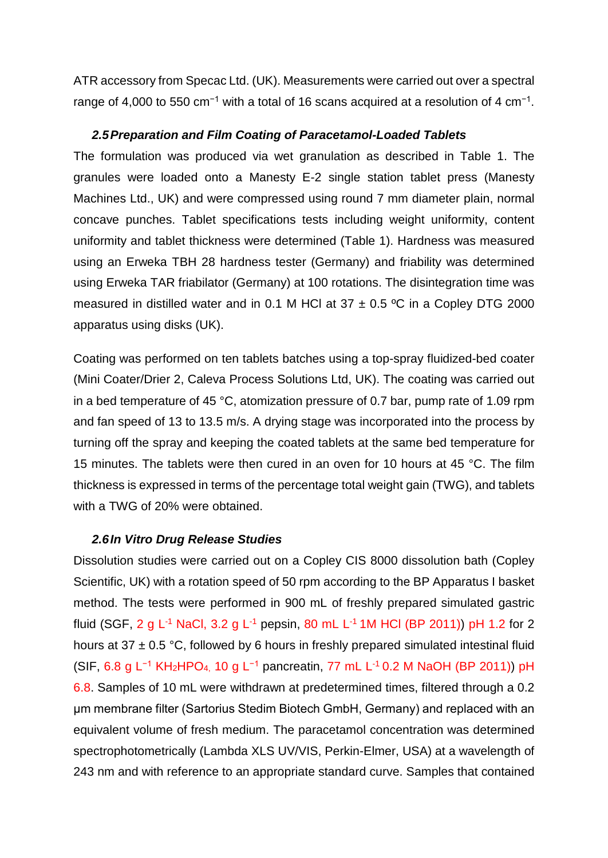ATR accessory from Specac Ltd. (UK). Measurements were carried out over a spectral range of 4,000 to 550 cm<sup>-1</sup> with a total of 16 scans acquired at a resolution of 4 cm<sup>-1</sup>.

#### *2.5 Preparation and Film Coating of Paracetamol-Loaded Tablets*

The formulation was produced via wet granulation as described in Table 1. The granules were loaded onto a Manesty E-2 single station tablet press (Manesty Machines Ltd., UK) and were compressed using round 7 mm diameter plain, normal concave punches. Tablet specifications tests including weight uniformity, content uniformity and tablet thickness were determined (Table 1). Hardness was measured using an Erweka TBH 28 hardness tester (Germany) and friability was determined using Erweka TAR friabilator (Germany) at 100 rotations. The disintegration time was measured in distilled water and in 0.1 M HCl at  $37 \pm 0.5$  °C in a Copley DTG 2000 apparatus using disks (UK).

Coating was performed on ten tablets batches using a top-spray fluidized-bed coater (Mini Coater/Drier 2, Caleva Process Solutions Ltd, UK). The coating was carried out in a bed temperature of 45 °C, atomization pressure of 0.7 bar, pump rate of 1.09 rpm and fan speed of 13 to 13.5 m/s. A drying stage was incorporated into the process by turning off the spray and keeping the coated tablets at the same bed temperature for 15 minutes. The tablets were then cured in an oven for 10 hours at 45 °C. The film thickness is expressed in terms of the percentage total weight gain (TWG), and tablets with a TWG of 20% were obtained.

#### *2.6 In Vitro Drug Release Studies*

Dissolution studies were carried out on a Copley CIS 8000 dissolution bath (Copley Scientific, UK) with a rotation speed of 50 rpm according to the BP Apparatus I basket method. The tests were performed in 900 mL of freshly prepared simulated gastric fluid (SGF, 2 g L<sup>-1</sup> NaCl, 3.2 g L<sup>-1</sup> pepsin, 80 mL L<sup>-1</sup> 1M HCl (BP 2011)) pH 1.2 for 2 hours at 37  $\pm$  0.5 °C, followed by 6 hours in freshly prepared simulated intestinal fluid (SIF, 6.8 g L<sup>-1</sup> KH<sub>2</sub>HPO<sub>4</sub>, 10 g L<sup>-1</sup> pancreatin, 77 mL L<sup>-1</sup> 0.2 M NaOH (BP 2011)) pH 6.8. Samples of 10 mL were withdrawn at predetermined times, filtered through a 0.2 μm membrane filter (Sartorius Stedim Biotech GmbH, Germany) and replaced with an equivalent volume of fresh medium. The paracetamol concentration was determined spectrophotometrically (Lambda XLS UV/VIS, Perkin-Elmer, USA) at a wavelength of 243 nm and with reference to an appropriate standard curve. Samples that contained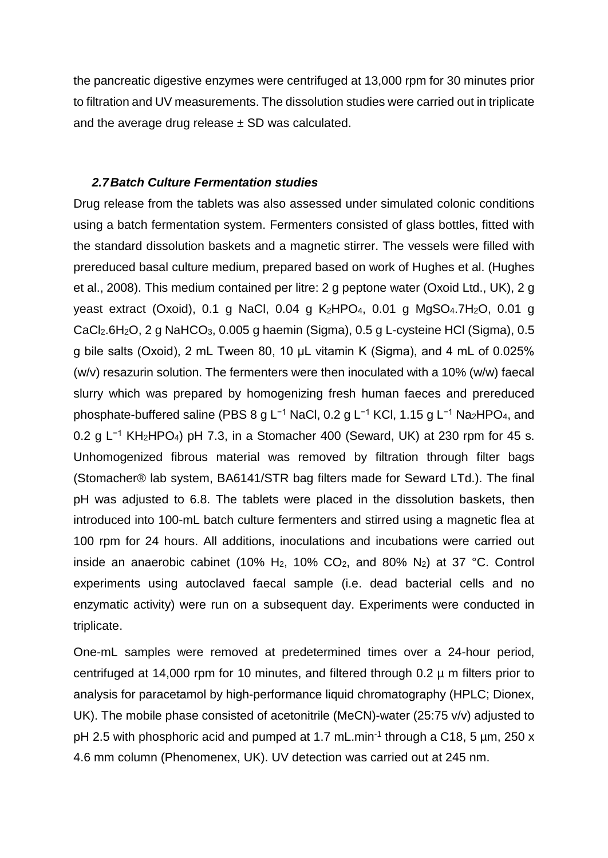the pancreatic digestive enzymes were centrifuged at 13,000 rpm for 30 minutes prior to filtration and UV measurements. The dissolution studies were carried out in triplicate and the average drug release  $\pm$  SD was calculated.

#### *2.7 Batch Culture Fermentation studies*

Drug release from the tablets was also assessed under simulated colonic conditions using a batch fermentation system. Fermenters consisted of glass bottles, fitted with the standard dissolution baskets and a magnetic stirrer. The vessels were filled with prereduced basal culture medium, prepared based on work of Hughes et al. (Hughes et al., 2008). This medium contained per litre: 2 g peptone water (Oxoid Ltd., UK), 2 g yeast extract (Oxoid), 0.1 g NaCl, 0.04 g K<sub>2</sub>HPO<sub>4</sub>, 0.01 g MgSO<sub>4</sub>.7H<sub>2</sub>O, 0.01 g CaCl2.6H2O, 2 g NaHCO3, 0.005 g haemin (Sigma), 0.5 g L-cysteine HCl (Sigma), 0.5 g bile salts (Oxoid), 2 mL Tween 80, 10 μL vitamin K (Sigma), and 4 mL of 0.025% (w/v) resazurin solution. The fermenters were then inoculated with a 10% (w/w) faecal slurry which was prepared by homogenizing fresh human faeces and prereduced phosphate-buffered saline (PBS 8 g L<sup>-1</sup> NaCl, 0.2 g L<sup>-1</sup> KCl, 1.15 g L<sup>-1</sup> Na<sub>2</sub>HPO<sub>4</sub>, and 0.2 g L<sup>-1</sup> KH<sub>2</sub>HPO<sub>4</sub>) pH 7.3, in a Stomacher 400 (Seward, UK) at 230 rpm for 45 s. Unhomogenized fibrous material was removed by filtration through filter bags (Stomacher® lab system, BA6141/STR bag filters made for Seward LTd.). The final pH was adjusted to 6.8. The tablets were placed in the dissolution baskets, then introduced into 100-mL batch culture fermenters and stirred using a magnetic flea at 100 rpm for 24 hours. All additions, inoculations and incubations were carried out inside an anaerobic cabinet (10% H<sub>2</sub>, 10% CO<sub>2</sub>, and 80% N<sub>2</sub>) at 37 °C. Control experiments using autoclaved faecal sample (i.e. dead bacterial cells and no enzymatic activity) were run on a subsequent day. Experiments were conducted in triplicate.

One-mL samples were removed at predetermined times over a 24-hour period, centrifuged at 14,000 rpm for 10 minutes, and filtered through 0.2 µ m filters prior to analysis for paracetamol by high-performance liquid chromatography (HPLC; Dionex, UK). The mobile phase consisted of acetonitrile (MeCN)-water (25:75 v/v) adjusted to pH 2.5 with phosphoric acid and pumped at 1.7 mL.min<sup>-1</sup> through a C18, 5 µm, 250 x 4.6 mm column (Phenomenex, UK). UV detection was carried out at 245 nm.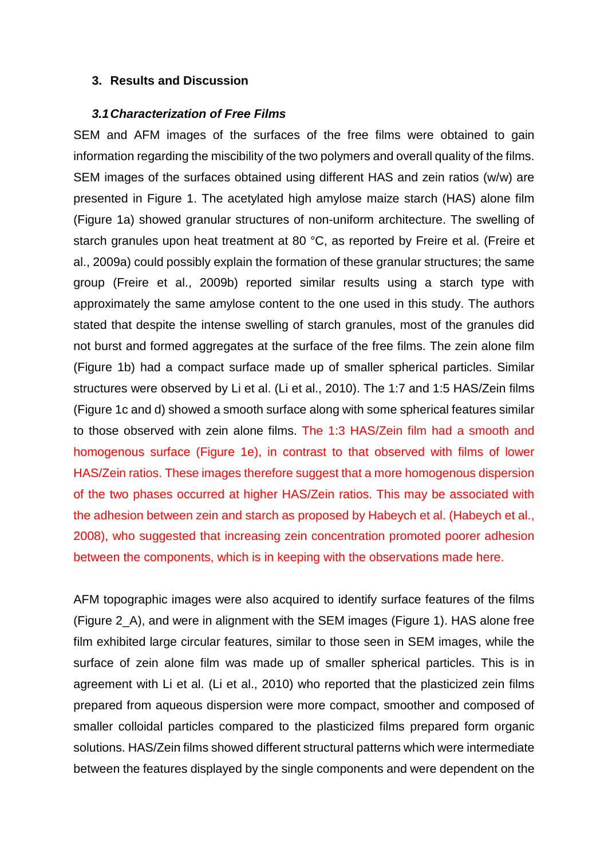#### **3. Results and Discussion**

#### *3.1 Characterization of Free Films*

SEM and AFM images of the surfaces of the free films were obtained to gain information regarding the miscibility of the two polymers and overall quality of the films. SEM images of the surfaces obtained using different HAS and zein ratios (w/w) are presented in Figure 1. The acetylated high amylose maize starch (HAS) alone film (Figure 1a) showed granular structures of non-uniform architecture. The swelling of starch granules upon heat treatment at 80 °C, as reported by Freire et al. (Freire et al., 2009a) could possibly explain the formation of these granular structures; the same group (Freire et al., 2009b) reported similar results using a starch type with approximately the same amylose content to the one used in this study. The authors stated that despite the intense swelling of starch granules, most of the granules did not burst and formed aggregates at the surface of the free films. The zein alone film (Figure 1b) had a compact surface made up of smaller spherical particles. Similar structures were observed by Li et al. (Li et al., 2010). The 1:7 and 1:5 HAS/Zein films (Figure 1c and d) showed a smooth surface along with some spherical features similar to those observed with zein alone films. The 1:3 HAS/Zein film had a smooth and homogenous surface (Figure 1e), in contrast to that observed with films of lower HAS/Zein ratios. These images therefore suggest that a more homogenous dispersion of the two phases occurred at higher HAS/Zein ratios. This may be associated with the adhesion between zein and starch as proposed by Habeych et al. (Habeych et al., 2008), who suggested that increasing zein concentration promoted poorer adhesion between the components, which is in keeping with the observations made here.

AFM topographic images were also acquired to identify surface features of the films (Figure 2\_A), and were in alignment with the SEM images (Figure 1). HAS alone free film exhibited large circular features, similar to those seen in SEM images, while the surface of zein alone film was made up of smaller spherical particles. This is in agreement with Li et al. (Li et al., 2010) who reported that the plasticized zein films prepared from aqueous dispersion were more compact, smoother and composed of smaller colloidal particles compared to the plasticized films prepared form organic solutions. HAS/Zein films showed different structural patterns which were intermediate between the features displayed by the single components and were dependent on the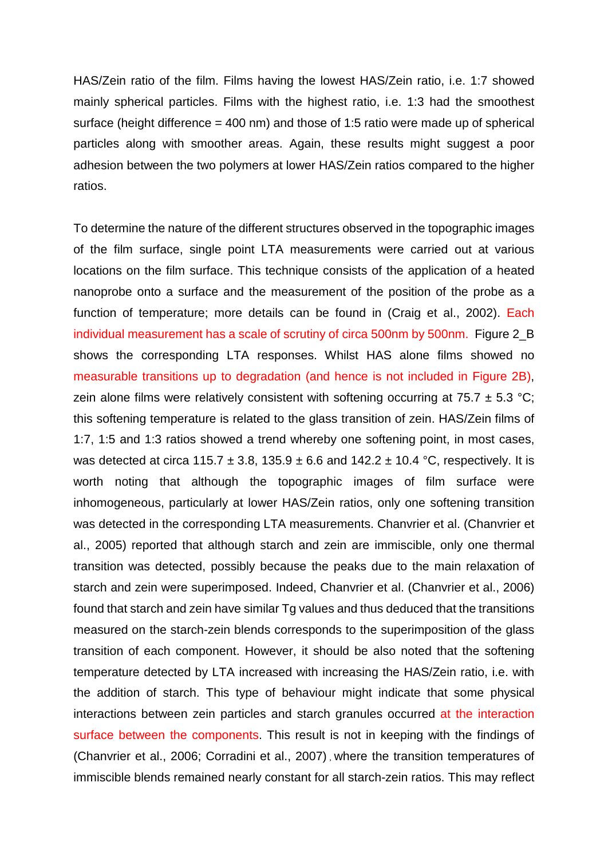HAS/Zein ratio of the film. Films having the lowest HAS/Zein ratio, i.e. 1:7 showed mainly spherical particles. Films with the highest ratio, i.e. 1:3 had the smoothest surface (height difference = 400 nm) and those of 1:5 ratio were made up of spherical particles along with smoother areas. Again, these results might suggest a poor adhesion between the two polymers at lower HAS/Zein ratios compared to the higher ratios.

To determine the nature of the different structures observed in the topographic images of the film surface, single point LTA measurements were carried out at various locations on the film surface. This technique consists of the application of a heated nanoprobe onto a surface and the measurement of the position of the probe as a function of temperature; more details can be found in (Craig et al., 2002). Each individual measurement has a scale of scrutiny of circa 500nm by 500nm. Figure 2\_B shows the corresponding LTA responses. Whilst HAS alone films showed no measurable transitions up to degradation (and hence is not included in Figure 2B), zein alone films were relatively consistent with softening occurring at 75.7  $\pm$  5.3 °C; this softening temperature is related to the glass transition of zein. HAS/Zein films of 1:7, 1:5 and 1:3 ratios showed a trend whereby one softening point, in most cases, was detected at circa 115.7  $\pm$  3.8, 135.9  $\pm$  6.6 and 142.2  $\pm$  10.4 °C, respectively. It is worth noting that although the topographic images of film surface were inhomogeneous, particularly at lower HAS/Zein ratios, only one softening transition was detected in the corresponding LTA measurements. Chanvrier et al. (Chanvrier et al., 2005) reported that although starch and zein are immiscible, only one thermal transition was detected, possibly because the peaks due to the main relaxation of starch and zein were superimposed. Indeed, Chanvrier et al. (Chanvrier et al., 2006) found that starch and zein have similar Tg values and thus deduced that the transitions measured on the starch-zein blends corresponds to the superimposition of the glass transition of each component. However, it should be also noted that the softening temperature detected by LTA increased with increasing the HAS/Zein ratio, i.e. with the addition of starch. This type of behaviour might indicate that some physical interactions between zein particles and starch granules occurred at the interaction surface between the components. This result is not in keeping with the findings of (Chanvrier et al., 2006; Corradini et al., 2007) , where the transition temperatures of immiscible blends remained nearly constant for all starch-zein ratios. This may reflect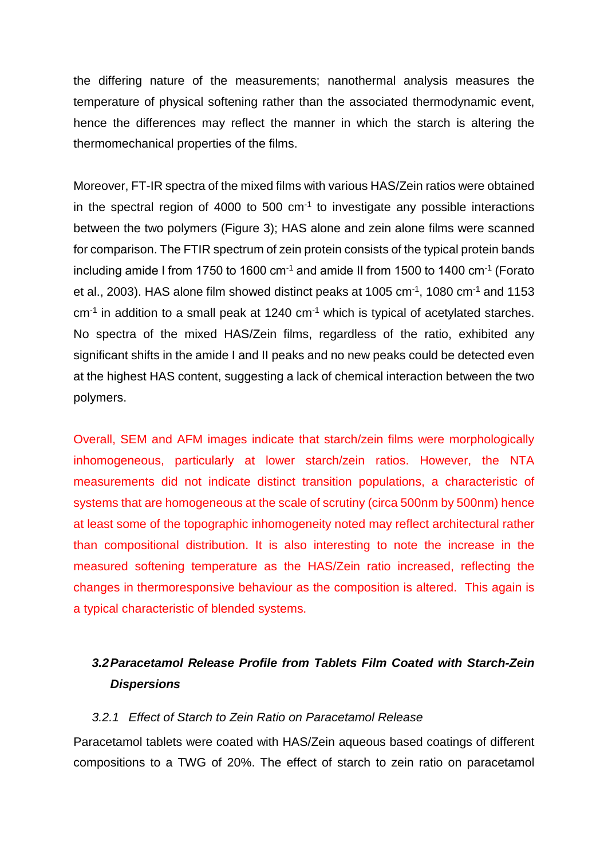the differing nature of the measurements; nanothermal analysis measures the temperature of physical softening rather than the associated thermodynamic event, hence the differences may reflect the manner in which the starch is altering the thermomechanical properties of the films.

Moreover, FT-IR spectra of the mixed films with various HAS/Zein ratios were obtained in the spectral region of 4000 to 500  $cm^{-1}$  to investigate any possible interactions between the two polymers (Figure 3); HAS alone and zein alone films were scanned for comparison. The FTIR spectrum of zein protein consists of the typical protein bands including amide I from 1750 to 1600 cm<sup>-1</sup> and amide II from 1500 to 1400 cm<sup>-1</sup> (Forato et al., 2003). HAS alone film showed distinct peaks at 1005 cm-1, 1080 cm-1 and 1153  $cm<sup>-1</sup>$  in addition to a small peak at 1240  $cm<sup>-1</sup>$  which is typical of acetylated starches. No spectra of the mixed HAS/Zein films, regardless of the ratio, exhibited any significant shifts in the amide I and II peaks and no new peaks could be detected even at the highest HAS content, suggesting a lack of chemical interaction between the two polymers.

Overall, SEM and AFM images indicate that starch/zein films were morphologically inhomogeneous, particularly at lower starch/zein ratios. However, the NTA measurements did not indicate distinct transition populations, a characteristic of systems that are homogeneous at the scale of scrutiny (circa 500nm by 500nm) hence at least some of the topographic inhomogeneity noted may reflect architectural rather than compositional distribution. It is also interesting to note the increase in the measured softening temperature as the HAS/Zein ratio increased, reflecting the changes in thermoresponsive behaviour as the composition is altered. This again is a typical characteristic of blended systems.

### *3.2 Paracetamol Release Profile from Tablets Film Coated with Starch-Zein Dispersions*

#### *3.2.1 Effect of Starch to Zein Ratio on Paracetamol Release*

Paracetamol tablets were coated with HAS/Zein aqueous based coatings of different compositions to a TWG of 20%. The effect of starch to zein ratio on paracetamol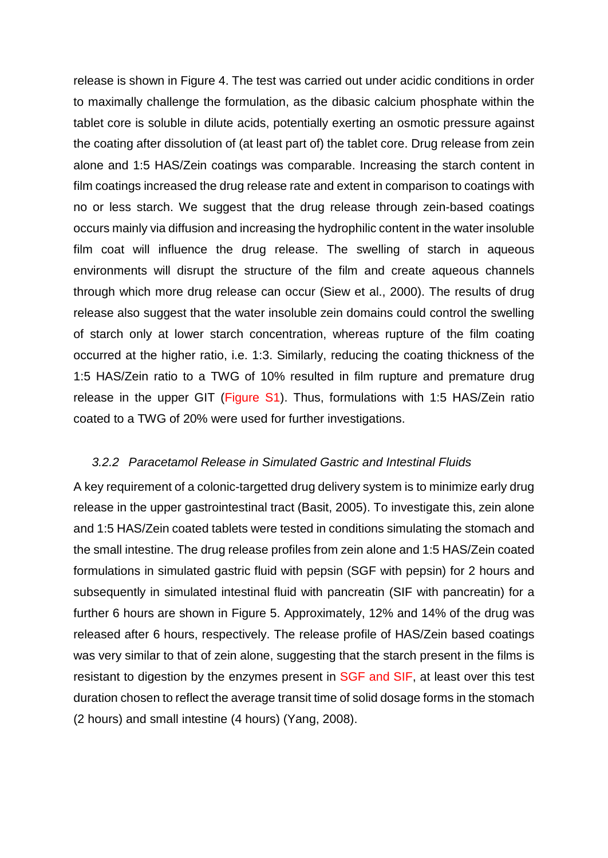release is shown in Figure 4. The test was carried out under acidic conditions in order to maximally challenge the formulation, as the dibasic calcium phosphate within the tablet core is soluble in dilute acids, potentially exerting an osmotic pressure against the coating after dissolution of (at least part of) the tablet core. Drug release from zein alone and 1:5 HAS/Zein coatings was comparable. Increasing the starch content in film coatings increased the drug release rate and extent in comparison to coatings with no or less starch. We suggest that the drug release through zein-based coatings occurs mainly via diffusion and increasing the hydrophilic content in the water insoluble film coat will influence the drug release. The swelling of starch in aqueous environments will disrupt the structure of the film and create aqueous channels through which more drug release can occur (Siew et al., 2000). The results of drug release also suggest that the water insoluble zein domains could control the swelling of starch only at lower starch concentration, whereas rupture of the film coating occurred at the higher ratio, i.e. 1:3. Similarly, reducing the coating thickness of the 1:5 HAS/Zein ratio to a TWG of 10% resulted in film rupture and premature drug release in the upper GIT (Figure S1). Thus, formulations with 1:5 HAS/Zein ratio coated to a TWG of 20% were used for further investigations.

#### *3.2.2 Paracetamol Release in Simulated Gastric and Intestinal Fluids*

A key requirement of a colonic-targetted drug delivery system is to minimize early drug release in the upper gastrointestinal tract (Basit, 2005). To investigate this, zein alone and 1:5 HAS/Zein coated tablets were tested in conditions simulating the stomach and the small intestine. The drug release profiles from zein alone and 1:5 HAS/Zein coated formulations in simulated gastric fluid with pepsin (SGF with pepsin) for 2 hours and subsequently in simulated intestinal fluid with pancreatin (SIF with pancreatin) for a further 6 hours are shown in Figure 5. Approximately, 12% and 14% of the drug was released after 6 hours, respectively. The release profile of HAS/Zein based coatings was very similar to that of zein alone, suggesting that the starch present in the films is resistant to digestion by the enzymes present in SGF and SIF, at least over this test duration chosen to reflect the average transit time of solid dosage forms in the stomach (2 hours) and small intestine (4 hours) (Yang, 2008).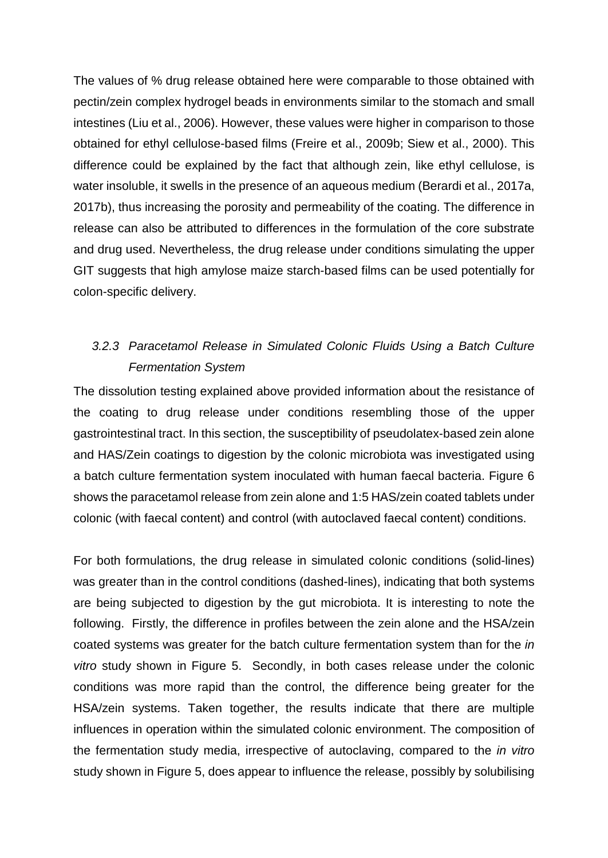The values of % drug release obtained here were comparable to those obtained with pectin/zein complex hydrogel beads in environments similar to the stomach and small intestines (Liu et al., 2006). However, these values were higher in comparison to those obtained for ethyl cellulose-based films (Freire et al., 2009b; Siew et al., 2000). This difference could be explained by the fact that although zein, like ethyl cellulose, is water insoluble, it swells in the presence of an aqueous medium (Berardi et al., 2017a, 2017b), thus increasing the porosity and permeability of the coating. The difference in release can also be attributed to differences in the formulation of the core substrate and drug used. Nevertheless, the drug release under conditions simulating the upper GIT suggests that high amylose maize starch-based films can be used potentially for colon-specific delivery.

## *3.2.3 Paracetamol Release in Simulated Colonic Fluids Using a Batch Culture Fermentation System*

The dissolution testing explained above provided information about the resistance of the coating to drug release under conditions resembling those of the upper gastrointestinal tract. In this section, the susceptibility of pseudolatex-based zein alone and HAS/Zein coatings to digestion by the colonic microbiota was investigated using a batch culture fermentation system inoculated with human faecal bacteria. Figure 6 shows the paracetamol release from zein alone and 1:5 HAS/zein coated tablets under colonic (with faecal content) and control (with autoclaved faecal content) conditions.

For both formulations, the drug release in simulated colonic conditions (solid-lines) was greater than in the control conditions (dashed-lines), indicating that both systems are being subjected to digestion by the gut microbiota. It is interesting to note the following. Firstly, the difference in profiles between the zein alone and the HSA/zein coated systems was greater for the batch culture fermentation system than for the *in vitro* study shown in Figure 5. Secondly, in both cases release under the colonic conditions was more rapid than the control, the difference being greater for the HSA/zein systems. Taken together, the results indicate that there are multiple influences in operation within the simulated colonic environment. The composition of the fermentation study media, irrespective of autoclaving, compared to the *in vitro* study shown in Figure 5, does appear to influence the release, possibly by solubilising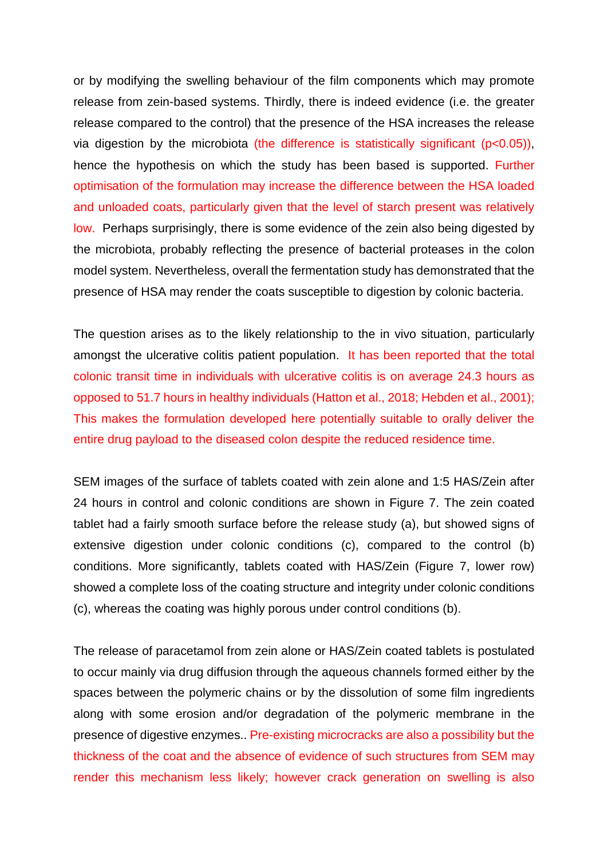or by modifying the swelling behaviour of the film components which may promote release from zein-based systems. Thirdly, there is indeed evidence (i.e. the greater release compared to the control) that the presence of the HSA increases the release via digestion by the microbiota (the difference is statistically significant (p<0.05)), hence the hypothesis on which the study has been based is supported. Further optimisation of the formulation may increase the difference between the HSA loaded and unloaded coats, particularly given that the level of starch present was relatively low. Perhaps surprisingly, there is some evidence of the zein also being digested by the microbiota, probably reflecting the presence of bacterial proteases in the colon model system. Nevertheless, overall the fermentation study has demonstrated that the presence of HSA may render the coats susceptible to digestion by colonic bacteria.

The question arises as to the likely relationship to the in vivo situation, particularly amongst the ulcerative colitis patient population. It has been reported that the total colonic transit time in individuals with ulcerative colitis is on average 24.3 hours as opposed to 51.7 hours in healthy individuals (Hatton et al., 2018; Hebden et al., 2001); This makes the formulation developed here potentially suitable to orally deliver the entire drug payload to the diseased colon despite the reduced residence time.

SEM images of the surface of tablets coated with zein alone and 1:5 HAS/Zein after 24 hours in control and colonic conditions are shown in Figure 7. The zein coated tablet had a fairly smooth surface before the release study (a), but showed signs of extensive digestion under colonic conditions (c), compared to the control (b) conditions. More significantly, tablets coated with HAS/Zein (Figure 7, lower row) showed a complete loss of the coating structure and integrity under colonic conditions (c), whereas the coating was highly porous under control conditions (b).

The release of paracetamol from zein alone or HAS/Zein coated tablets is postulated to occur mainly via drug diffusion through the aqueous channels formed either by the spaces between the polymeric chains or by the dissolution of some film ingredients along with some erosion and/or degradation of the polymeric membrane in the presence of digestive enzymes.. Pre-existing microcracks are also a possibility but the thickness of the coat and the absence of evidence of such structures from SEM may render this mechanism less likely; however crack generation on swelling is also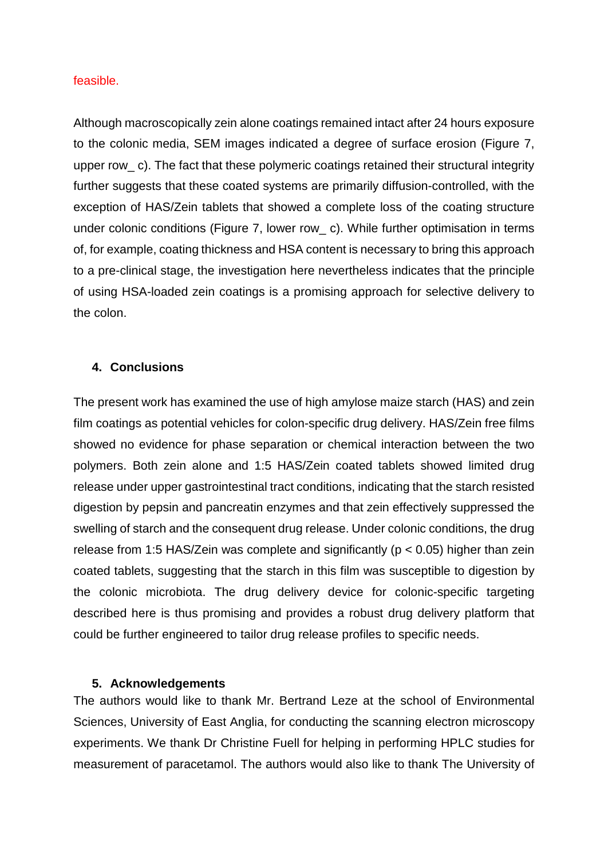#### feasible.

Although macroscopically zein alone coatings remained intact after 24 hours exposure to the colonic media, SEM images indicated a degree of surface erosion (Figure 7, upper row c). The fact that these polymeric coatings retained their structural integrity further suggests that these coated systems are primarily diffusion-controlled, with the exception of HAS/Zein tablets that showed a complete loss of the coating structure under colonic conditions (Figure 7, lower row\_ c). While further optimisation in terms of, for example, coating thickness and HSA content is necessary to bring this approach to a pre-clinical stage, the investigation here nevertheless indicates that the principle of using HSA-loaded zein coatings is a promising approach for selective delivery to the colon.

#### **4. Conclusions**

The present work has examined the use of high amylose maize starch (HAS) and zein film coatings as potential vehicles for colon-specific drug delivery. HAS/Zein free films showed no evidence for phase separation or chemical interaction between the two polymers. Both zein alone and 1:5 HAS/Zein coated tablets showed limited drug release under upper gastrointestinal tract conditions, indicating that the starch resisted digestion by pepsin and pancreatin enzymes and that zein effectively suppressed the swelling of starch and the consequent drug release. Under colonic conditions, the drug release from 1:5 HAS/Zein was complete and significantly (p < 0.05) higher than zein coated tablets, suggesting that the starch in this film was susceptible to digestion by the colonic microbiota. The drug delivery device for colonic-specific targeting described here is thus promising and provides a robust drug delivery platform that could be further engineered to tailor drug release profiles to specific needs.

#### **5. Acknowledgements**

The authors would like to thank Mr. Bertrand Leze at the school of Environmental Sciences, University of East Anglia, for conducting the scanning electron microscopy experiments. We thank Dr Christine Fuell for helping in performing HPLC studies for measurement of paracetamol. The authors would also like to thank The University of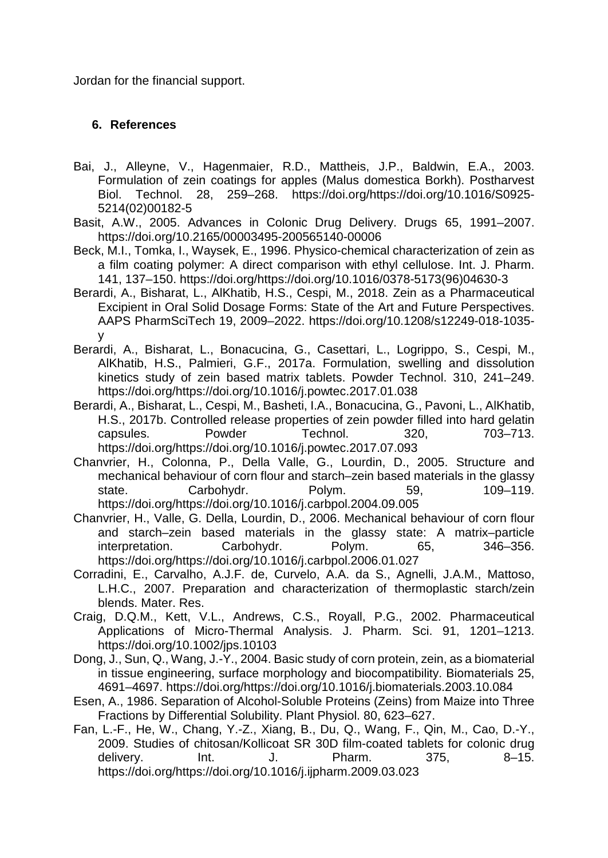Jordan for the financial support.

#### **6. References**

- Bai, J., Alleyne, V., Hagenmaier, R.D., Mattheis, J.P., Baldwin, E.A., 2003. Formulation of zein coatings for apples (Malus domestica Borkh). Postharvest Biol. Technol. 28, 259–268. https://doi.org/https://doi.org/10.1016/S0925- 5214(02)00182-5
- Basit, A.W., 2005. Advances in Colonic Drug Delivery. Drugs 65, 1991–2007. https://doi.org/10.2165/00003495-200565140-00006
- Beck, M.I., Tomka, I., Waysek, E., 1996. Physico-chemical characterization of zein as a film coating polymer: A direct comparison with ethyl cellulose. Int. J. Pharm. 141, 137–150. https://doi.org/https://doi.org/10.1016/0378-5173(96)04630-3
- Berardi, A., Bisharat, L., AlKhatib, H.S., Cespi, M., 2018. Zein as a Pharmaceutical Excipient in Oral Solid Dosage Forms: State of the Art and Future Perspectives. AAPS PharmSciTech 19, 2009–2022. https://doi.org/10.1208/s12249-018-1035 y
- Berardi, A., Bisharat, L., Bonacucina, G., Casettari, L., Logrippo, S., Cespi, M., AlKhatib, H.S., Palmieri, G.F., 2017a. Formulation, swelling and dissolution kinetics study of zein based matrix tablets. Powder Technol. 310, 241–249. https://doi.org/https://doi.org/10.1016/j.powtec.2017.01.038
- Berardi, A., Bisharat, L., Cespi, M., Basheti, I.A., Bonacucina, G., Pavoni, L., AlKhatib, H.S., 2017b. Controlled release properties of zein powder filled into hard gelatin capsules. Powder Technol. 320, 703–713. https://doi.org/https://doi.org/10.1016/j.powtec.2017.07.093
- Chanvrier, H., Colonna, P., Della Valle, G., Lourdin, D., 2005. Structure and mechanical behaviour of corn flour and starch–zein based materials in the glassy state. Carbohydr. Polym. 59, 109–119. https://doi.org/https://doi.org/10.1016/j.carbpol.2004.09.005
- Chanvrier, H., Valle, G. Della, Lourdin, D., 2006. Mechanical behaviour of corn flour and starch–zein based materials in the glassy state: A matrix–particle interpretation. Carbohydr. Polym. 65, 346–356. https://doi.org/https://doi.org/10.1016/j.carbpol.2006.01.027
- Corradini, E., Carvalho, A.J.F. de, Curvelo, A.A. da S., Agnelli, J.A.M., Mattoso, L.H.C., 2007. Preparation and characterization of thermoplastic starch/zein blends. Mater. Res.
- Craig, D.Q.M., Kett, V.L., Andrews, C.S., Royall, P.G., 2002. Pharmaceutical Applications of Micro-Thermal Analysis. J. Pharm. Sci. 91, 1201–1213. https://doi.org/10.1002/jps.10103
- Dong, J., Sun, Q., Wang, J.-Y., 2004. Basic study of corn protein, zein, as a biomaterial in tissue engineering, surface morphology and biocompatibility. Biomaterials 25, 4691–4697. https://doi.org/https://doi.org/10.1016/j.biomaterials.2003.10.084
- Esen, A., 1986. Separation of Alcohol-Soluble Proteins (Zeins) from Maize into Three Fractions by Differential Solubility. Plant Physiol. 80, 623–627.
- Fan, L.-F., He, W., Chang, Y.-Z., Xiang, B., Du, Q., Wang, F., Qin, M., Cao, D.-Y., 2009. Studies of chitosan/Kollicoat SR 30D film-coated tablets for colonic drug delivery. Int. J. Pharm. 375, 8-15. https://doi.org/https://doi.org/10.1016/j.ijpharm.2009.03.023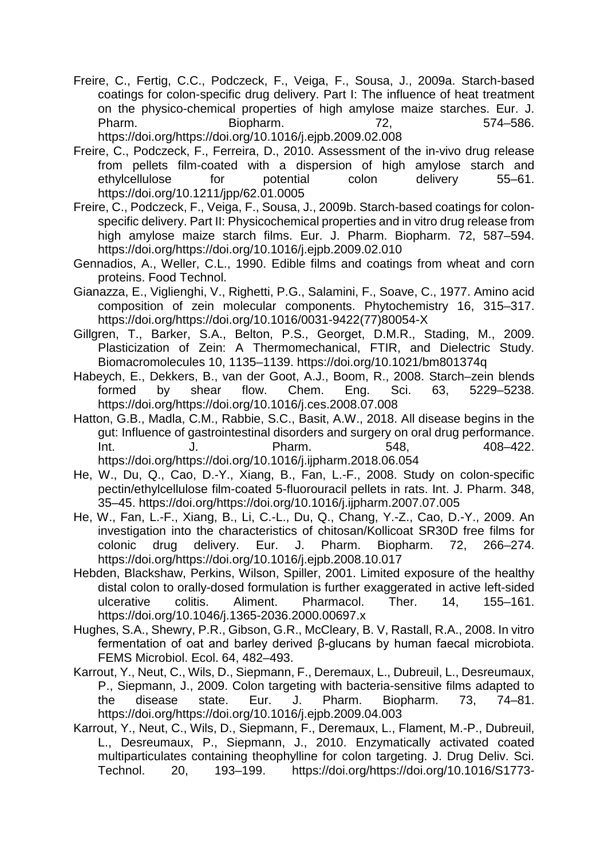Freire, C., Fertig, C.C., Podczeck, F., Veiga, F., Sousa, J., 2009a. Starch-based coatings for colon-specific drug delivery. Part I: The influence of heat treatment on the physico-chemical properties of high amylose maize starches. Eur. J. Pharm. Biopharm. 72, 574–586.

https://doi.org/https://doi.org/10.1016/j.ejpb.2009.02.008

- Freire, C., Podczeck, F., Ferreira, D., 2010. Assessment of the in-vivo drug release from pellets film-coated with a dispersion of high amylose starch and ethylcellulose for potential colon delivery 55–61. https://doi.org/10.1211/jpp/62.01.0005
- Freire, C., Podczeck, F., Veiga, F., Sousa, J., 2009b. Starch-based coatings for colonspecific delivery. Part II: Physicochemical properties and in vitro drug release from high amylose maize starch films. Eur. J. Pharm. Biopharm. 72, 587–594. https://doi.org/https://doi.org/10.1016/j.ejpb.2009.02.010
- Gennadios, A., Weller, C.L., 1990. Edible films and coatings from wheat and corn proteins. Food Technol.
- Gianazza, E., Viglienghi, V., Righetti, P.G., Salamini, F., Soave, C., 1977. Amino acid composition of zein molecular components. Phytochemistry 16, 315–317. https://doi.org/https://doi.org/10.1016/0031-9422(77)80054-X
- Gillgren, T., Barker, S.A., Belton, P.S., Georget, D.M.R., Stading, M., 2009. Plasticization of Zein: A Thermomechanical, FTIR, and Dielectric Study. Biomacromolecules 10, 1135–1139. https://doi.org/10.1021/bm801374q
- Habeych, E., Dekkers, B., van der Goot, A.J., Boom, R., 2008. Starch–zein blends formed by shear flow. Chem. Eng. Sci. 63, 5229–5238. https://doi.org/https://doi.org/10.1016/j.ces.2008.07.008
- Hatton, G.B., Madla, C.M., Rabbie, S.C., Basit, A.W., 2018. All disease begins in the gut: Influence of gastrointestinal disorders and surgery on oral drug performance. Int. J. Pharm. 548, 408–422. https://doi.org/https://doi.org/10.1016/j.ijpharm.2018.06.054
- He, W., Du, Q., Cao, D.-Y., Xiang, B., Fan, L.-F., 2008. Study on colon-specific pectin/ethylcellulose film-coated 5-fluorouracil pellets in rats. Int. J. Pharm. 348, 35–45. https://doi.org/https://doi.org/10.1016/j.ijpharm.2007.07.005
- He, W., Fan, L.-F., Xiang, B., Li, C.-L., Du, Q., Chang, Y.-Z., Cao, D.-Y., 2009. An investigation into the characteristics of chitosan/Kollicoat SR30D free films for colonic drug delivery. Eur. J. Pharm. Biopharm. 72, 266–274. https://doi.org/https://doi.org/10.1016/j.ejpb.2008.10.017
- Hebden, Blackshaw, Perkins, Wilson, Spiller, 2001. Limited exposure of the healthy distal colon to orally-dosed formulation is further exaggerated in active left-sided ulcerative colitis. Aliment. Pharmacol. Ther. 14, 155–161. https://doi.org/10.1046/j.1365-2036.2000.00697.x
- Hughes, S.A., Shewry, P.R., Gibson, G.R., McCleary, B. V, Rastall, R.A., 2008. In vitro fermentation of oat and barley derived β-glucans by human faecal microbiota. FEMS Microbiol. Ecol. 64, 482–493.
- Karrout, Y., Neut, C., Wils, D., Siepmann, F., Deremaux, L., Dubreuil, L., Desreumaux, P., Siepmann, J., 2009. Colon targeting with bacteria-sensitive films adapted to the disease state. Eur. J. Pharm. Biopharm. 73, 74–81. https://doi.org/https://doi.org/10.1016/j.ejpb.2009.04.003
- Karrout, Y., Neut, C., Wils, D., Siepmann, F., Deremaux, L., Flament, M.-P., Dubreuil, L., Desreumaux, P., Siepmann, J., 2010. Enzymatically activated coated multiparticulates containing theophylline for colon targeting. J. Drug Deliv. Sci. Technol. 20, 193–199. https://doi.org/https://doi.org/10.1016/S1773-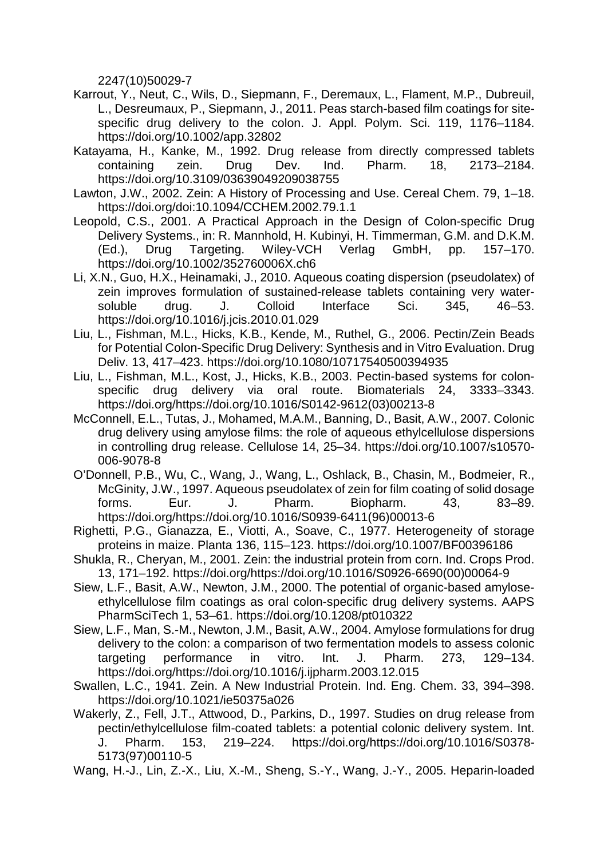2247(10)50029-7

- Karrout, Y., Neut, C., Wils, D., Siepmann, F., Deremaux, L., Flament, M.P., Dubreuil, L., Desreumaux, P., Siepmann, J., 2011. Peas starch-based film coatings for sitespecific drug delivery to the colon. J. Appl. Polym. Sci. 119, 1176–1184. https://doi.org/10.1002/app.32802
- Katayama, H., Kanke, M., 1992. Drug release from directly compressed tablets containing zein. Drug Dev. Ind. Pharm. 18, 2173–2184. https://doi.org/10.3109/03639049209038755
- Lawton, J.W., 2002. Zein: A History of Processing and Use. Cereal Chem. 79, 1–18. https://doi.org/doi:10.1094/CCHEM.2002.79.1.1
- Leopold, C.S., 2001. A Practical Approach in the Design of Colon-specific Drug Delivery Systems., in: R. Mannhold, H. Kubinyi, H. Timmerman, G.M. and D.K.M. (Ed.), Drug Targeting. Wiley-VCH Verlag GmbH, pp. 157–170. https://doi.org/10.1002/352760006X.ch6
- Li, X.N., Guo, H.X., Heinamaki, J., 2010. Aqueous coating dispersion (pseudolatex) of zein improves formulation of sustained-release tablets containing very watersoluble drug. J. Colloid Interface Sci. 345, 46–53. https://doi.org/10.1016/j.jcis.2010.01.029
- Liu, L., Fishman, M.L., Hicks, K.B., Kende, M., Ruthel, G., 2006. Pectin/Zein Beads for Potential Colon-Specific Drug Delivery: Synthesis and in Vitro Evaluation. Drug Deliv. 13, 417–423. https://doi.org/10.1080/10717540500394935
- Liu, L., Fishman, M.L., Kost, J., Hicks, K.B., 2003. Pectin-based systems for colonspecific drug delivery via oral route. Biomaterials 24, 3333–3343. https://doi.org/https://doi.org/10.1016/S0142-9612(03)00213-8
- McConnell, E.L., Tutas, J., Mohamed, M.A.M., Banning, D., Basit, A.W., 2007. Colonic drug delivery using amylose films: the role of aqueous ethylcellulose dispersions in controlling drug release. Cellulose 14, 25–34. https://doi.org/10.1007/s10570- 006-9078-8
- O'Donnell, P.B., Wu, C., Wang, J., Wang, L., Oshlack, B., Chasin, M., Bodmeier, R., McGinity, J.W., 1997. Aqueous pseudolatex of zein for film coating of solid dosage forms. Eur. J. Pharm. Biopharm. 43, 83–89. https://doi.org/https://doi.org/10.1016/S0939-6411(96)00013-6
- Righetti, P.G., Gianazza, E., Viotti, A., Soave, C., 1977. Heterogeneity of storage proteins in maize. Planta 136, 115–123. https://doi.org/10.1007/BF00396186
- Shukla, R., Cheryan, M., 2001. Zein: the industrial protein from corn. Ind. Crops Prod. 13, 171–192. https://doi.org/https://doi.org/10.1016/S0926-6690(00)00064-9
- Siew, L.F., Basit, A.W., Newton, J.M., 2000. The potential of organic-based amyloseethylcellulose film coatings as oral colon-specific drug delivery systems. AAPS PharmSciTech 1, 53–61. https://doi.org/10.1208/pt010322
- Siew, L.F., Man, S.-M., Newton, J.M., Basit, A.W., 2004. Amylose formulations for drug delivery to the colon: a comparison of two fermentation models to assess colonic targeting performance in vitro. Int. J. Pharm. 273, 129–134. https://doi.org/https://doi.org/10.1016/j.ijpharm.2003.12.015
- Swallen, L.C., 1941. Zein. A New Industrial Protein. Ind. Eng. Chem. 33, 394–398. https://doi.org/10.1021/ie50375a026
- Wakerly, Z., Fell, J.T., Attwood, D., Parkins, D., 1997. Studies on drug release from pectin/ethylcellulose film-coated tablets: a potential colonic delivery system. Int. J. Pharm. 153, 219–224. https://doi.org/https://doi.org/10.1016/S0378- 5173(97)00110-5

Wang, H.-J., Lin, Z.-X., Liu, X.-M., Sheng, S.-Y., Wang, J.-Y., 2005. Heparin-loaded